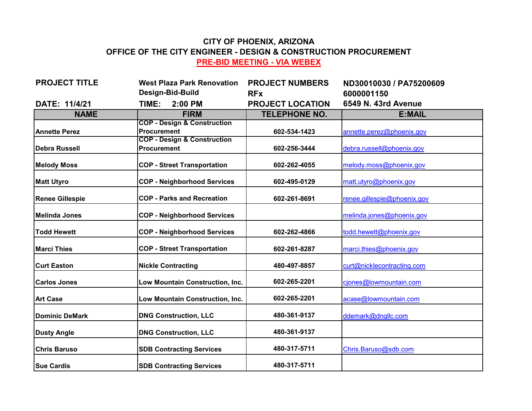## **CITY OF PHOENIX, ARIZONA OFFICE OF THE CITY ENGINEER - DESIGN & CONSTRUCTION PROCUREMENT PRE-BID MEETING - VIA WEBEX**

| <b>PROJECT TITLE</b>   | <b>West Plaza Park Renovation</b>                            | <b>PROJECT NUMBERS</b>  | ND30010030 / PA75200609     |
|------------------------|--------------------------------------------------------------|-------------------------|-----------------------------|
|                        | Design-Bid-Build                                             | <b>RFx</b>              | 6000001150                  |
| DATE: 11/4/21          | TIME:<br>2:00 PM                                             | <b>PROJECT LOCATION</b> | 6549 N. 43rd Avenue         |
| <b>NAME</b>            | <b>FIRM</b>                                                  | <b>TELEPHONE NO.</b>    | E:MAIL                      |
|                        | <b>COP - Design &amp; Construction</b><br><b>Procurement</b> |                         |                             |
| <b>Annette Perez</b>   | <b>COP - Design &amp; Construction</b>                       | 602-534-1423            | annette.perez@phoenix.gov   |
| <b>Debra Russell</b>   | <b>Procurement</b>                                           | 602-256-3444            | debra.russell@phoenix.gov   |
| <b>Melody Moss</b>     | <b>COP - Street Transportation</b>                           | 602-262-4055            | melody.moss@phoenix.gov     |
| <b>Matt Utyro</b>      | <b>COP - Neighborhood Services</b>                           | 602-495-0129            | matt.utyro@phoenix.gov      |
| <b>Renee Gillespie</b> | <b>COP - Parks and Recreation</b>                            | 602-261-8691            | renee.gillespie@phoenix.gov |
| Melinda Jones          | <b>COP - Neighborhood Services</b>                           |                         | melinda.jones@phoenix.gov   |
| <b>Todd Hewett</b>     | <b>COP - Neighborhood Services</b>                           | 602-262-4866            | todd.hewett@phoenix.gov     |
| <b>Marci Thies</b>     | <b>COP - Street Transportation</b>                           | 602-261-8287            | marci.thies@phoenix.gov     |
| <b>Curt Easton</b>     | <b>Nickle Contracting</b>                                    | 480-497-8857            | curt@nicklecontracting.com  |
| <b>Carlos Jones</b>    | Low Mountain Construction, Inc.                              | 602-265-2201            | ciones@lowmountain.com      |
| <b>Art Case</b>        | Low Mountain Construction, Inc.                              | 602-265-2201            | acase@lowmountain.com       |
| Dominic DeMark         | <b>DNG Construction, LLC</b>                                 | 480-361-9137            | ddemark@dngllc.com          |
| <b>Dusty Angle</b>     | <b>DNG Construction, LLC</b>                                 | 480-361-9137            |                             |
| <b>Chris Baruso</b>    | <b>SDB Contracting Services</b>                              | 480-317-5711            | Chris.Baruso@sdb.com        |
| <b>Sue Cardis</b>      | <b>SDB Contracting Services</b>                              | 480-317-5711            |                             |